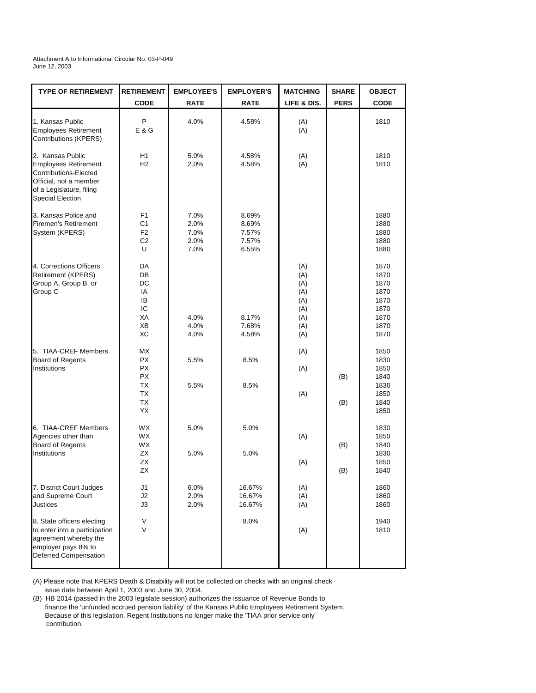Attachment A to Informational Circular No. 03-P-049 June 12, 2003

| <b>TYPE OF RETIREMENT</b>                                                                                                                                        | <b>RETIREMENT</b>                                                        | <b>EMPLOYEE'S</b>                    | <b>EMPLOYER'S</b>                         | <b>MATCHING</b>                                             | <b>SHARE</b> | <b>OBJECT</b>                                                        |
|------------------------------------------------------------------------------------------------------------------------------------------------------------------|--------------------------------------------------------------------------|--------------------------------------|-------------------------------------------|-------------------------------------------------------------|--------------|----------------------------------------------------------------------|
|                                                                                                                                                                  | <b>CODE</b>                                                              | <b>RATE</b>                          | <b>RATE</b>                               | LIFE & DIS.                                                 | <b>PERS</b>  | <b>CODE</b>                                                          |
| 1. Kansas Public<br><b>Employees Retirement</b><br><b>Contributions (KPERS)</b>                                                                                  | P<br>E & G                                                               | 4.0%                                 | 4.58%                                     | (A)<br>(A)                                                  |              | 1810                                                                 |
| 2. Kansas Public<br><b>Employees Retirement</b><br><b>Contributions-Elected</b><br>Official, not a member<br>of a Legislature, filing<br><b>Special Election</b> | H1<br>H <sub>2</sub>                                                     | 5.0%<br>2.0%                         | 4.58%<br>4.58%                            | (A)<br>(A)                                                  |              | 1810<br>1810                                                         |
| 3. Kansas Police and<br><b>Firemen's Retirement</b><br>System (KPERS)                                                                                            | F1<br>C <sub>1</sub><br>F <sub>2</sub><br>C <sub>2</sub><br>U            | 7.0%<br>2.0%<br>7.0%<br>2.0%<br>7.0% | 8.69%<br>8.69%<br>7.57%<br>7.57%<br>6.55% |                                                             |              | 1880<br>1880<br>1880<br>1880<br>1880                                 |
| 4. Corrections Officers<br>Retirement (KPERS)<br>Group A, Group B, or<br>Group C                                                                                 | DA<br>DB<br>DC<br>IA<br>IB<br>IC<br>XA<br>ХB<br>XC                       | 4.0%<br>4.0%<br>4.0%                 | 8.17%<br>7.68%<br>4.58%                   | (A)<br>(A)<br>(A)<br>(A)<br>(A)<br>(A)<br>(A)<br>(A)<br>(A) |              | 1870<br>1870<br>1870<br>1870<br>1870<br>1870<br>1870<br>1870<br>1870 |
| 5. TIAA-CREF Members<br><b>Board of Regents</b><br>Institutions                                                                                                  | МX<br><b>PX</b><br><b>PX</b><br>PX<br><b>TX</b><br>ТX<br><b>TX</b><br>YX | 5.5%<br>5.5%                         | 8.5%<br>8.5%                              | (A)<br>(A)<br>(A)                                           | (B)<br>(B)   | 1850<br>1830<br>1850<br>1840<br>1830<br>1850<br>1840<br>1850         |
| 6. TIAA-CREF Members<br>Agencies other than<br><b>Board of Regents</b><br>Institutions                                                                           | WX<br><b>WX</b><br><b>WX</b><br>ZX<br>ΖX<br>ΖX                           | 5.0%<br>5.0%                         | 5.0%<br>5.0%                              | (A)<br>(A)                                                  | (B)<br>(B)   | 1830<br>1850<br>1840<br>1830<br>1850<br>1840                         |
| 7. District Court Judges<br>and Supreme Court<br>Justices                                                                                                        | J1<br>J2<br>JЗ                                                           | 6.0%<br>2.0%<br>2.0%                 | 16.67%<br>16.67%<br>16.67%                | (A)<br>(A)<br>(A)                                           |              | 1860<br>1860<br>1860                                                 |
| 8. State officers electing<br>to enter into a participation<br>agreement whereby the<br>employer pays 8% to<br>Deferred Compensation                             | V<br>V                                                                   |                                      | 8.0%                                      | (A)                                                         |              | 1940<br>1810                                                         |

(A) Please note that KPERS Death & Disability will not be collected on checks with an original check issue date between April 1, 2003 and June 30, 2004.

(B) HB 2014 (passed in the 2003 legislate session) authorizes the issuance of Revenue Bonds to finance the 'unfunded accrued pension liability' of the Kansas Public Employees Retirement System. Because of this legislation, Regent Institutions no longer make the 'TIAA prior service only' contribution.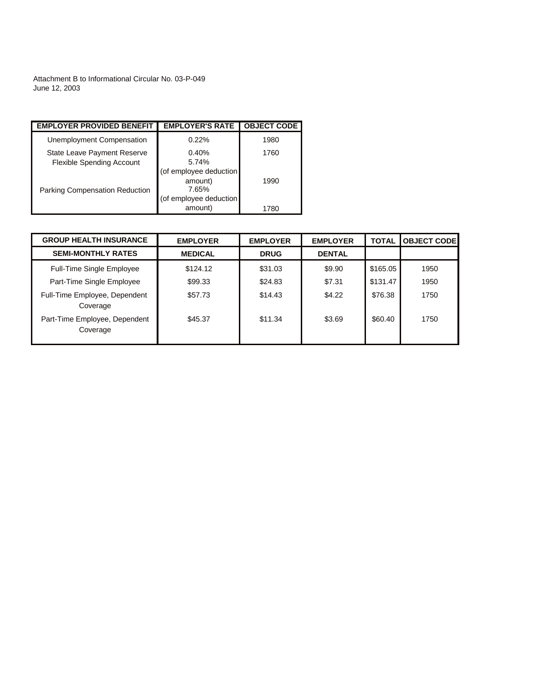Attachment B to Informational Circular No. 03-P-049 June 12, 2003

| <b>EMPLOYER PROVIDED BENEFIT</b>                                | <b>EMPLOYER'S RATE</b>                             | <b>OBJECT CODE</b> |
|-----------------------------------------------------------------|----------------------------------------------------|--------------------|
| Unemployment Compensation                                       | 0.22%                                              | 1980               |
| State Leave Payment Reserve<br><b>Flexible Spending Account</b> | 0.40%<br>5.74%                                     | 1760               |
| <b>Parking Compensation Reduction</b>                           | (of employee deduction<br>amount)<br>1990<br>7.65% |                    |
|                                                                 | (of employee deduction<br>amount)                  | .780               |

| <b>GROUP HEALTH INSURANCE</b>             | <b>EMPLOYER</b> | <b>EMPLOYER</b> | <b>EMPLOYER</b> | <b>TOTAL</b> | <b>OBJECT CODEI</b> |
|-------------------------------------------|-----------------|-----------------|-----------------|--------------|---------------------|
| <b>SEMI-MONTHLY RATES</b>                 | <b>MEDICAL</b>  | <b>DRUG</b>     | <b>DENTAL</b>   |              |                     |
| <b>Full-Time Single Employee</b>          | \$124.12        | \$31.03         | \$9.90          | \$165.05     | 1950                |
| Part-Time Single Employee                 | \$99.33         | \$24.83         | \$7.31          | \$131.47     | 1950                |
| Full-Time Employee, Dependent<br>Coverage | \$57.73         | \$14.43         | \$4.22          | \$76.38      | 1750                |
| Part-Time Employee, Dependent<br>Coverage | \$45.37         | \$11.34         | \$3.69          | \$60.40      | 1750                |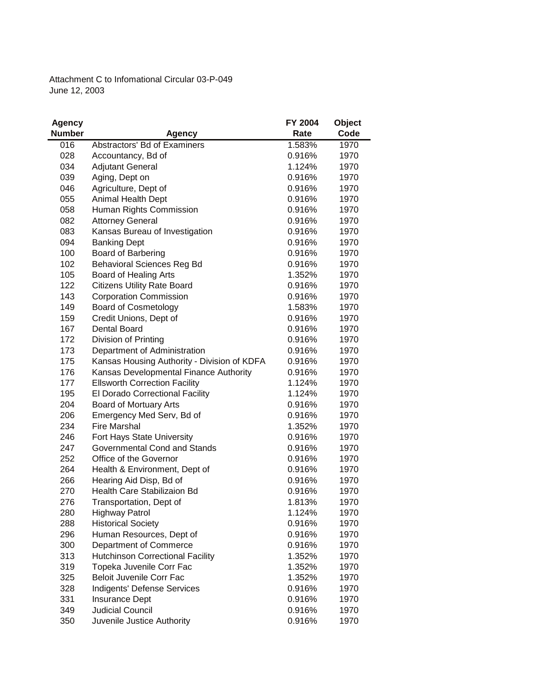Attachment C to Infomational Circular 03-P-049 June 12, 2003

| <b>Agency</b>    |                                             | FY 2004 | Object |
|------------------|---------------------------------------------|---------|--------|
| <b>Number</b>    | <b>Agency</b>                               | Rate    | Code   |
| $\overline{016}$ | Abstractors' Bd of Examiners                | 1.583%  | 1970   |
| 028              | Accountancy, Bd of                          | 0.916%  | 1970   |
| 034              | <b>Adjutant General</b>                     | 1.124%  | 1970   |
| 039              | Aging, Dept on                              | 0.916%  | 1970   |
| 046              | Agriculture, Dept of                        | 0.916%  | 1970   |
| 055              | Animal Health Dept                          | 0.916%  | 1970   |
| 058              | Human Rights Commission                     | 0.916%  | 1970   |
| 082              | <b>Attorney General</b>                     | 0.916%  | 1970   |
| 083              | Kansas Bureau of Investigation              | 0.916%  | 1970   |
| 094              | <b>Banking Dept</b>                         | 0.916%  | 1970   |
| 100              | Board of Barbering                          | 0.916%  | 1970   |
| 102              | <b>Behavioral Sciences Reg Bd</b>           | 0.916%  | 1970   |
| 105              | Board of Healing Arts                       | 1.352%  | 1970   |
| 122              | <b>Citizens Utility Rate Board</b>          | 0.916%  | 1970   |
| 143              | <b>Corporation Commission</b>               | 0.916%  | 1970   |
| 149              | <b>Board of Cosmetology</b>                 | 1.583%  | 1970   |
| 159              | Credit Unions, Dept of                      | 0.916%  | 1970   |
| 167              | <b>Dental Board</b>                         | 0.916%  | 1970   |
| 172              | Division of Printing                        | 0.916%  | 1970   |
| 173              | Department of Administration                | 0.916%  | 1970   |
| 175              | Kansas Housing Authority - Division of KDFA | 0.916%  | 1970   |
| 176              | Kansas Developmental Finance Authority      | 0.916%  | 1970   |
| 177              | <b>Ellsworth Correction Facility</b>        | 1.124%  | 1970   |
| 195              | El Dorado Correctional Facility             | 1.124%  | 1970   |
| 204              | Board of Mortuary Arts                      | 0.916%  | 1970   |
| 206              | Emergency Med Serv, Bd of                   | 0.916%  | 1970   |
| 234              | <b>Fire Marshal</b>                         | 1.352%  | 1970   |
| 246              | Fort Hays State University                  | 0.916%  | 1970   |
| 247              | Governmental Cond and Stands                | 0.916%  | 1970   |
| 252              | Office of the Governor                      | 0.916%  | 1970   |
| 264              | Health & Environment, Dept of               | 0.916%  | 1970   |
| 266              | Hearing Aid Disp, Bd of                     | 0.916%  | 1970   |
| 270              | <b>Health Care Stabilizaion Bd</b>          | 0.916%  | 1970   |
| 276              | Transportation, Dept of                     | 1.813%  | 1970   |
| 280              | Highway Patrol                              | 1.124%  | 1970   |
| 288              | <b>Historical Society</b>                   | 0.916%  | 1970   |
| 296              | Human Resources, Dept of                    | 0.916%  | 1970   |
| 300              | Department of Commerce                      | 0.916%  | 1970   |
| 313              | <b>Hutchinson Correctional Facility</b>     | 1.352%  | 1970   |
| 319              | Topeka Juvenile Corr Fac                    | 1.352%  | 1970   |
| 325              | <b>Beloit Juvenile Corr Fac</b>             | 1.352%  | 1970   |
| 328              | Indigents' Defense Services                 | 0.916%  | 1970   |
| 331              | <b>Insurance Dept</b>                       | 0.916%  | 1970   |
| 349              | <b>Judicial Council</b>                     | 0.916%  | 1970   |
| 350              | Juvenile Justice Authority                  | 0.916%  | 1970   |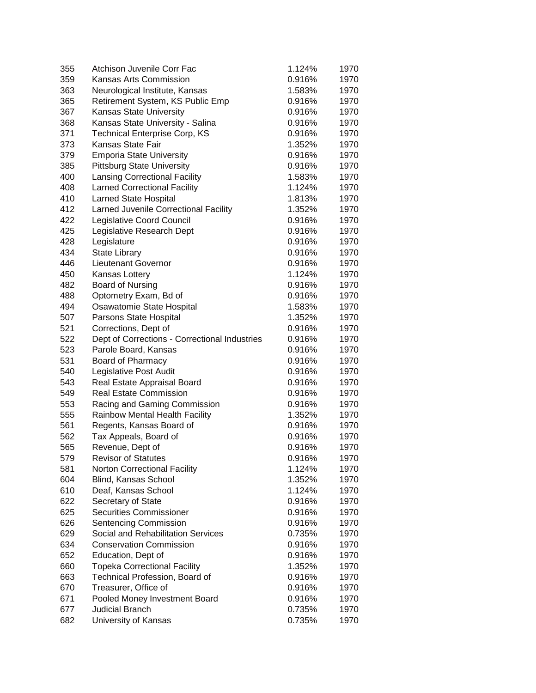| 355 | Atchison Juvenile Corr Fac                    | 1.124% | 1970 |
|-----|-----------------------------------------------|--------|------|
| 359 | Kansas Arts Commission                        | 0.916% | 1970 |
| 363 | Neurological Institute, Kansas                | 1.583% | 1970 |
| 365 | Retirement System, KS Public Emp              | 0.916% | 1970 |
| 367 | <b>Kansas State University</b>                | 0.916% | 1970 |
| 368 | Kansas State University - Salina              | 0.916% | 1970 |
| 371 | <b>Technical Enterprise Corp, KS</b>          | 0.916% | 1970 |
| 373 | Kansas State Fair                             | 1.352% | 1970 |
| 379 | <b>Emporia State University</b>               | 0.916% | 1970 |
| 385 | <b>Pittsburg State University</b>             | 0.916% | 1970 |
| 400 | <b>Lansing Correctional Facility</b>          | 1.583% | 1970 |
| 408 | <b>Larned Correctional Facility</b>           | 1.124% | 1970 |
| 410 | <b>Larned State Hospital</b>                  | 1.813% | 1970 |
| 412 | Larned Juvenile Correctional Facility         | 1.352% | 1970 |
| 422 | Legislative Coord Council                     | 0.916% | 1970 |
| 425 | Legislative Research Dept                     | 0.916% | 1970 |
| 428 | Legislature                                   | 0.916% | 1970 |
| 434 | <b>State Library</b>                          | 0.916% | 1970 |
| 446 | <b>Lieutenant Governor</b>                    | 0.916% | 1970 |
| 450 | Kansas Lottery                                | 1.124% | 1970 |
| 482 | Board of Nursing                              | 0.916% | 1970 |
| 488 | Optometry Exam, Bd of                         | 0.916% | 1970 |
| 494 | Osawatomie State Hospital                     | 1.583% | 1970 |
| 507 | Parsons State Hospital                        | 1.352% | 1970 |
| 521 | Corrections, Dept of                          | 0.916% | 1970 |
| 522 | Dept of Corrections - Correctional Industries | 0.916% | 1970 |
| 523 | Parole Board, Kansas                          | 0.916% | 1970 |
| 531 | Board of Pharmacy                             | 0.916% | 1970 |
| 540 | Legislative Post Audit                        | 0.916% | 1970 |
| 543 | Real Estate Appraisal Board                   | 0.916% | 1970 |
| 549 | <b>Real Estate Commission</b>                 | 0.916% | 1970 |
| 553 | Racing and Gaming Commission                  | 0.916% | 1970 |
| 555 | Rainbow Mental Health Facility                | 1.352% | 1970 |
| 561 | Regents, Kansas Board of                      | 0.916% | 1970 |
| 562 | Tax Appeals, Board of                         | 0.916% | 1970 |
| 565 | Revenue, Dept of                              | 0.916% | 1970 |
| 579 | <b>Revisor of Statutes</b>                    | 0.916% | 1970 |
| 581 | <b>Norton Correctional Facility</b>           | 1.124% | 1970 |
| 604 | Blind, Kansas School                          | 1.352% | 1970 |
| 610 | Deaf, Kansas School                           | 1.124% | 1970 |
| 622 | Secretary of State                            | 0.916% | 1970 |
| 625 | <b>Securities Commissioner</b>                | 0.916% | 1970 |
| 626 | Sentencing Commission                         | 0.916% | 1970 |
| 629 | Social and Rehabilitation Services            | 0.735% | 1970 |
| 634 | <b>Conservation Commission</b>                | 0.916% | 1970 |
| 652 | Education, Dept of                            | 0.916% | 1970 |
| 660 | <b>Topeka Correctional Facility</b>           | 1.352% | 1970 |
| 663 | Technical Profession, Board of                | 0.916% | 1970 |
| 670 | Treasurer, Office of                          | 0.916% | 1970 |
| 671 | Pooled Money Investment Board                 | 0.916% | 1970 |
| 677 | <b>Judicial Branch</b>                        | 0.735% | 1970 |
| 682 | University of Kansas                          | 0.735% | 1970 |
|     |                                               |        |      |